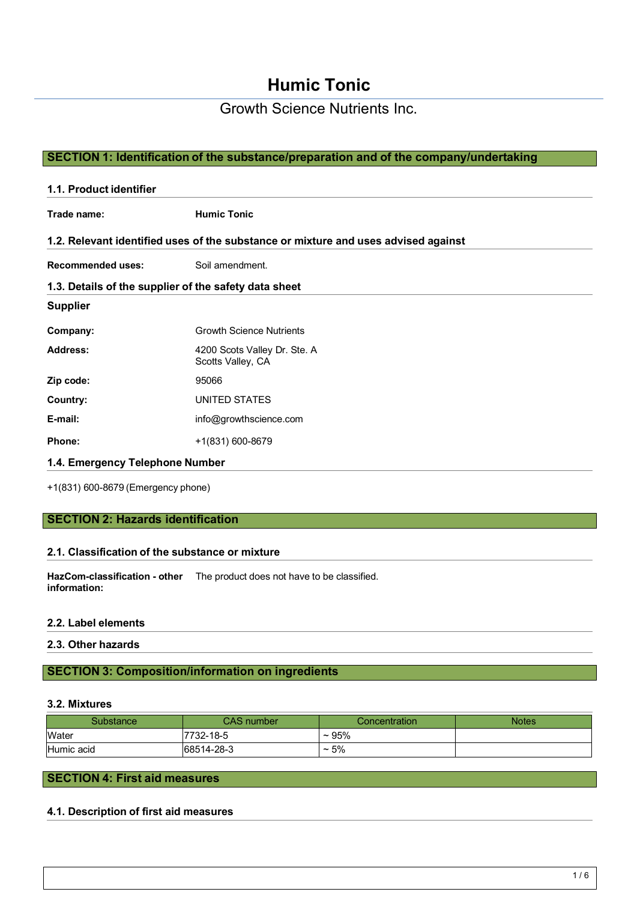Growth Science Nutrients Inc.

## **SECTION 1: Identification of the substance/preparation and of the company/undertaking**

| 1.1. Product identifier                               |                                                                                    |  |
|-------------------------------------------------------|------------------------------------------------------------------------------------|--|
| Trade name:                                           | <b>Humic Tonic</b>                                                                 |  |
|                                                       | 1.2. Relevant identified uses of the substance or mixture and uses advised against |  |
| <b>Recommended uses:</b>                              | Soil amendment.                                                                    |  |
| 1.3. Details of the supplier of the safety data sheet |                                                                                    |  |
| <b>Supplier</b>                                       |                                                                                    |  |
| Company:                                              | <b>Growth Science Nutrients</b>                                                    |  |
| <b>Address:</b>                                       | 4200 Scots Valley Dr. Ste. A<br>Scotts Valley, CA                                  |  |
| Zip code:                                             | 95066                                                                              |  |
| Country:                                              | UNITED STATES                                                                      |  |
| E-mail:                                               | info@growthscience.com                                                             |  |
| <b>Phone:</b>                                         | +1(831) 600-8679                                                                   |  |
| 1.4. Emergency Telephone Number                       |                                                                                    |  |

+1(831) 600-8679 (Emergency phone)

## **SECTION 2: Hazards identification**

#### **2.1. Classification of the substance or mixture**

**HazCom-classification - other**  The product does not have to be classified. **information:**

#### **2.2. Label elements**

**2.3. Other hazards**

## **SECTION 3: Composition/information on ingredients**

#### **3.2. Mixtures**

| Substance  | <b>CAS number</b> | Concentration | <b>Notes</b> |
|------------|-------------------|---------------|--------------|
| Water      | 7732-18-5         | ~105%         |              |
| Humic acid | 68514-28-3        | $\sim 5\%$    |              |

## **SECTION 4: First aid measures**

#### **4.1. Description of first aid measures**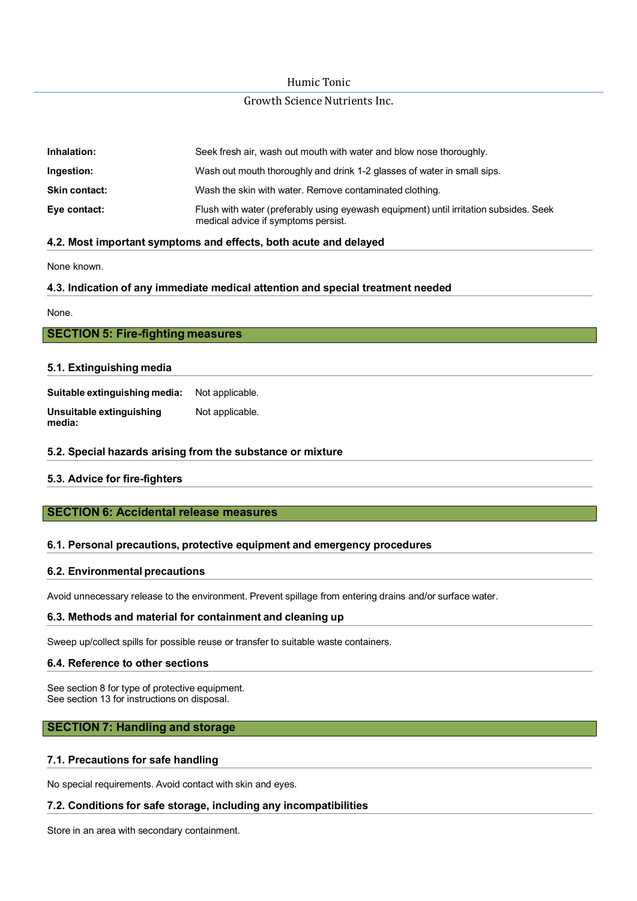## Growth Science Nutrients Inc.

| Inhalation:          | Seek fresh air, wash out mouth with water and blow nose thoroughly.                                                          |
|----------------------|------------------------------------------------------------------------------------------------------------------------------|
| Ingestion:           | Wash out mouth thoroughly and drink 1-2 glasses of water in small sips.                                                      |
| <b>Skin contact:</b> | Wash the skin with water. Remove contaminated clothing.                                                                      |
| Eye contact:         | Flush with water (preferably using eyewash equipment) until irritation subsides. Seek<br>medical advice if symptoms persist. |

#### **4.2. Most important symptoms and effects, both acute and delayed**

None known.

#### **4.3. Indication of any immediate medical attention and special treatment needed**

None.

| <b>SECTION 5: Fire-fighting measures</b> |
|------------------------------------------|
|------------------------------------------|

#### **5.1. Extinguishing media**

**Suitable extinguishing media:** Not applicable. **Unsuitable extinguishing media:** Not applicable.

#### **5.2. Special hazards arising from the substance or mixture**

#### **5.3. Advice for fire-fighters**

## **SECTION 6: Accidental release measures**

#### **6.1. Personal precautions, protective equipment and emergency procedures**

#### **6.2. Environmental precautions**

Avoid unnecessary release to the environment. Prevent spillage from entering drains and/or surface water.

#### **6.3. Methods and material for containment and cleaning up**

Sweep up/collect spills for possible reuse or transfer to suitable waste containers.

#### **6.4. Reference to other sections**

See section 8 for type of protective equipment. See section 13 for instructions on disposal.

#### **SECTION 7: Handling and storage**

#### **7.1. Precautions for safe handling**

No special requirements. Avoid contact with skin and eyes.

#### **7.2. Conditions for safe storage, including any incompatibilities**

Store in an area with secondary containment.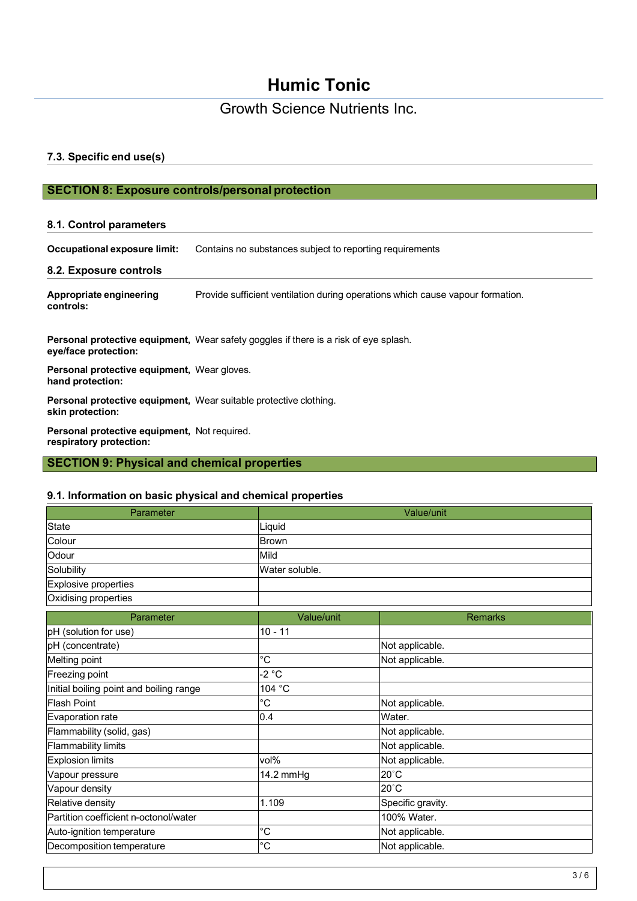# Growth Science Nutrients Inc.

### **7.3. Specific end use(s)**

## **SECTION 8: Exposure controls/personal protection**

#### **8.1. Control parameters**

| Occupational exposure limit: | Contains no substances subject to reporting requirements |
|------------------------------|----------------------------------------------------------|
|                              |                                                          |

#### **8.2. Exposure controls**

**Appropriate engineering controls:** Provide sufficient ventilation during operations which cause vapour formation.

**Personal protective equipment,** Wear safety goggles if there is a risk of eye splash. **eye/face protection:**

**Personal protective equipment,** Wear gloves. **hand protection:**

**Personal protective equipment,** Wear suitable protective clothing. **skin protection:**

**Personal protective equipment,** Not required. **respiratory protection:**

## **SECTION 9: Physical and chemical properties**

#### **9.1. Information on basic physical and chemical properties**

| Parameter                               |                  | Value/unit        |
|-----------------------------------------|------------------|-------------------|
| <b>State</b>                            | Liquid           |                   |
| Colour                                  | Brown            |                   |
| Odour                                   | Mild             |                   |
| Solubility                              | Water soluble.   |                   |
| Explosive properties                    |                  |                   |
| Oxidising properties                    |                  |                   |
| Parameter                               | Value/unit       | <b>Remarks</b>    |
| pH (solution for use)                   | $10 - 11$        |                   |
| pH (concentrate)                        |                  | Not applicable.   |
| Melting point                           | $^{\circ}C$      | Not applicable.   |
| Freezing point                          | $-2 °C$          |                   |
| Initial boiling point and boiling range | 104 °C           |                   |
| <b>Flash Point</b>                      | $^{\circ}C$      | Not applicable.   |
| Evaporation rate                        | 0.4              | Water.            |
| Flammability (solid, gas)               |                  | Not applicable.   |
| <b>Flammability limits</b>              |                  | Not applicable.   |
| <b>Explosion limits</b>                 | vol <sub>%</sub> | Not applicable.   |
| Vapour pressure                         | 14.2 mmHg        | $20^{\circ}$ C    |
| Vapour density                          |                  | $20^{\circ}$ C    |
| Relative density                        | 1.109            | Specific gravity. |
| Partition coefficient n-octonol/water   |                  | 100% Water.       |
| Auto-ignition temperature               | $^{\circ}$ C     | Not applicable.   |
| Decomposition temperature               | °C               | Not applicable.   |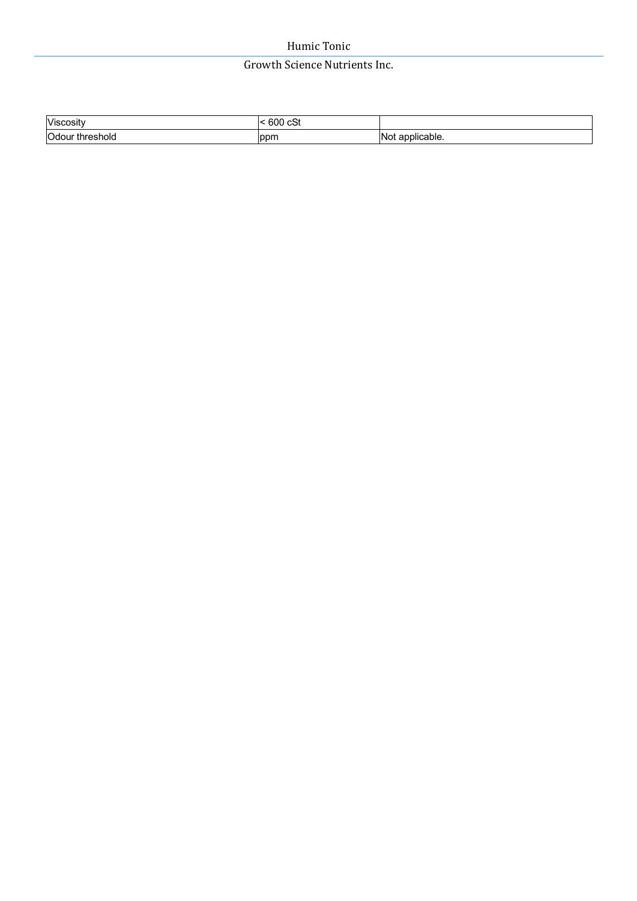## Growth Science Nutrients Inc.

| Viscosity          | 600<br>$\sim$<br>~<br>יט<br>$  -$ |                     |
|--------------------|-----------------------------------|---------------------|
| Odour<br>threshold | lppm                              | applicable.<br>'Not |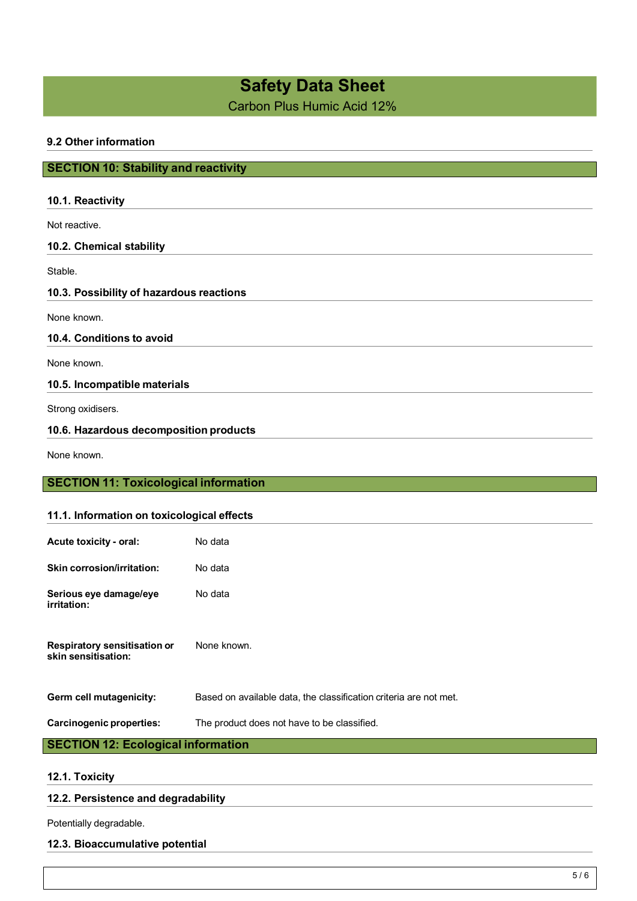# **Safety Data Sheet**

Carbon Plus Humic Acid 12%

## **9.2 Other information**

## **SECTION 10: Stability and reactivity**

| 10.1. Reactivity                             |         |  |
|----------------------------------------------|---------|--|
| Not reactive.                                |         |  |
| 10.2. Chemical stability                     |         |  |
| Stable.                                      |         |  |
| 10.3. Possibility of hazardous reactions     |         |  |
| None known.                                  |         |  |
| 10.4. Conditions to avoid                    |         |  |
| None known.                                  |         |  |
| 10.5. Incompatible materials                 |         |  |
| Strong oxidisers.                            |         |  |
| 10.6. Hazardous decomposition products       |         |  |
| None known.                                  |         |  |
| <b>SECTION 11: Toxicological information</b> |         |  |
|                                              |         |  |
| 11.1. Information on toxicological effects   |         |  |
| Acute toxicity - oral:                       | No data |  |
| <b>Skin corrosion/irritation:</b>            | No data |  |

**Serious eye damage/eye irritation:** No data

**Respiratory sensitisation or skin sensitisation:** None known.

**Germ cell mutagenicity:** Based on available data, the classification criteria are not met.

### **Carcinogenic properties:** The product does not have to be classified.

## **SECTION 12: Ecological information**

#### **12.1. Toxicity**

#### **12.2. Persistence and degradability**

Potentially degradable.

#### **12.3. Bioaccumulative potential**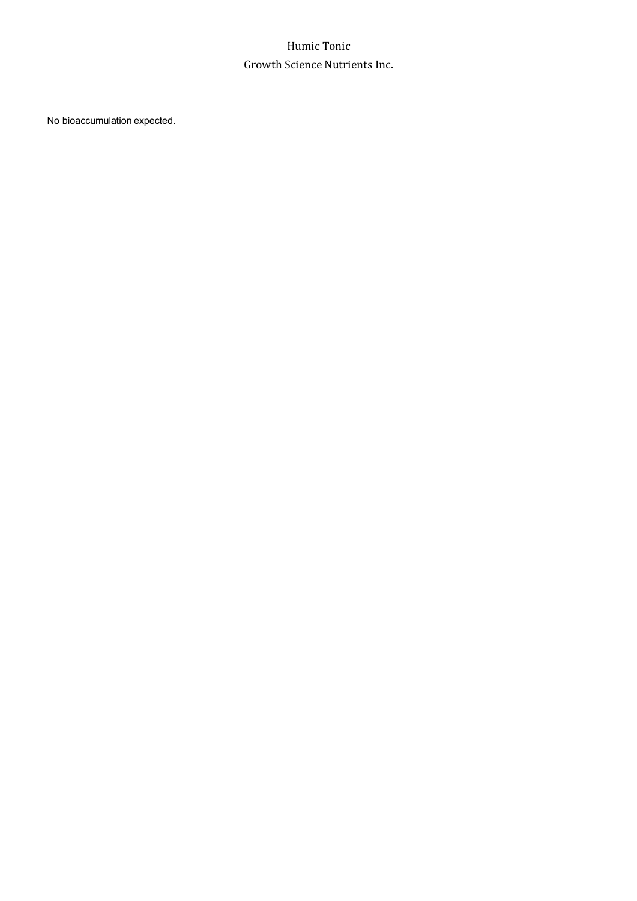## Growth Science Nutrients Inc.

No bioaccumulation expected.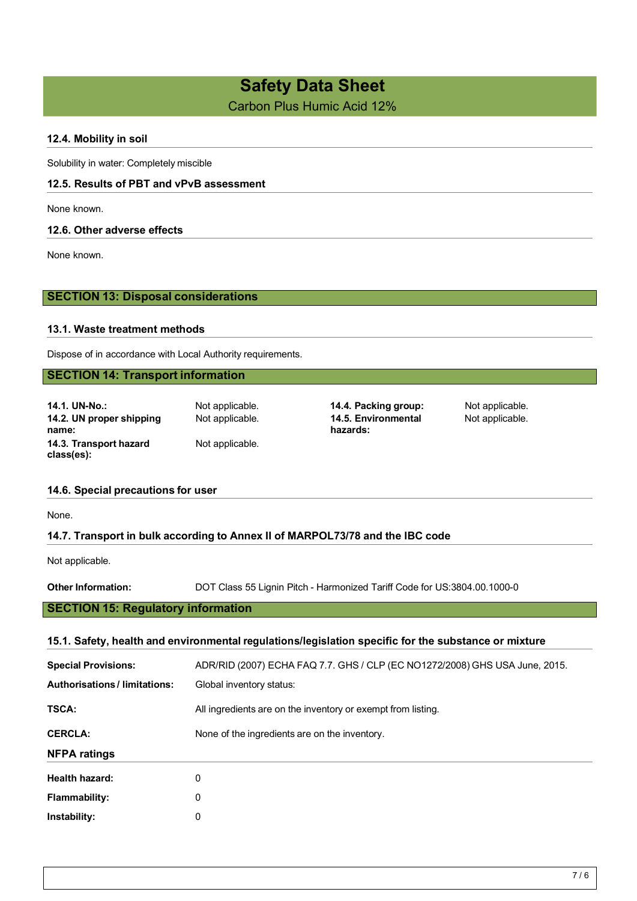# **Safety Data Sheet**

Carbon Plus Humic Acid 12%

## **12.4. Mobility in soil**

Solubility in water: Completely miscible

## **12.5. Results of PBT and vPvB assessment**

None known.

#### **12.6. Other adverse effects**

None known.

## **SECTION 13: Disposal considerations**

#### **13.1. Waste treatment methods**

Dispose of in accordance with Local Authority requirements.

## **SECTION 14: Transport information**

**14.1. UN-No.:** Not applicable. **14.4. Packing group:** Not applicable. **14.2. UN proper shipping name: 14.3. Transport hazard class(es):**

Not applicable.

# Not applicable. **14.5. Environmental hazards:**

Not applicable.

#### **14.6. Special precautions for user**

None.

## **14.7. Transport in bulk according to Annex II of MARPOL73/78 and the IBC code**

Not applicable.

**Other Information:** DOT Class 55 Lignin Pitch - Harmonized Tariff Code for US:3804.00.1000-0

## **SECTION 15: Regulatory information**

## **15.1. Safety, health and environmental regulations/legislation specific for the substance or mixture**

| <b>Special Provisions:</b>         | ADR/RID (2007) ECHA FAQ 7.7. GHS / CLP (EC NO1272/2008) GHS USA June, 2015. |
|------------------------------------|-----------------------------------------------------------------------------|
| <b>Authorisations/limitations:</b> | Global inventory status:                                                    |
| <b>TSCA:</b>                       | All ingredients are on the inventory or exempt from listing.                |
| <b>CERCLA:</b>                     | None of the ingredients are on the inventory.                               |
| <b>NFPA ratings</b>                |                                                                             |
| Health hazard:                     | 0                                                                           |
| Flammability:                      | 0                                                                           |
| Instability:                       | 0                                                                           |